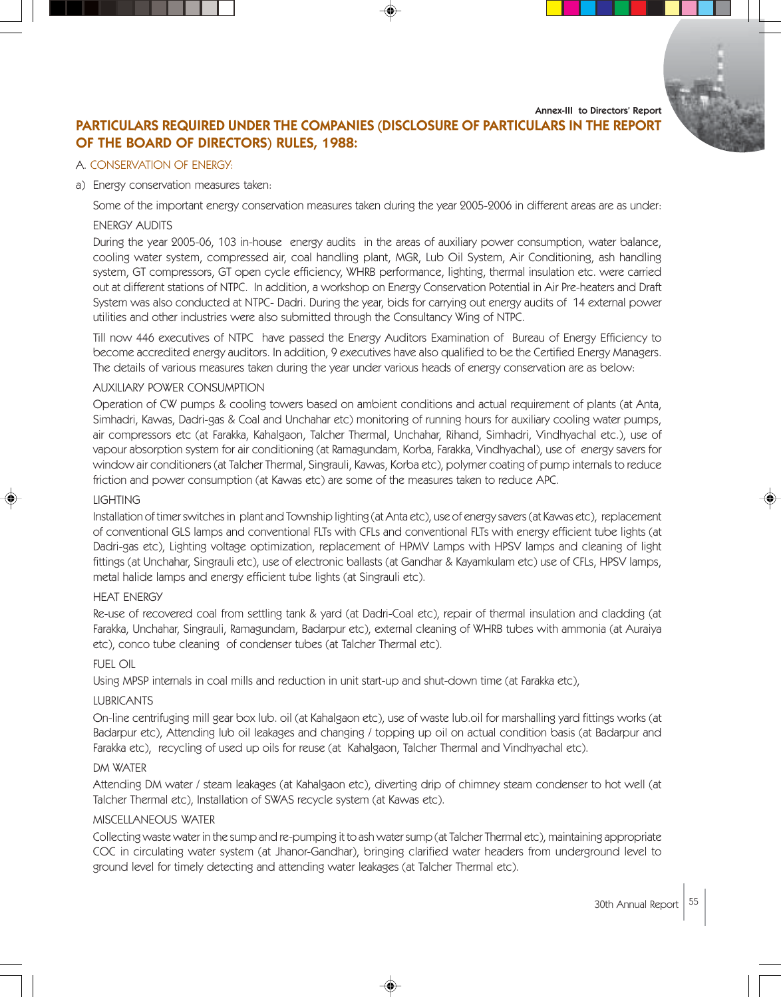Annex-III to Directors' Report



# PARTICULARS REQUIRED UNDER THE COMPANIES (DISCLOSURE OF PARTICULARS IN THE REPORT OF THE BOARD OF DIRECTORS) RULES, 1988:

### A. CONSERVATION OF ENERGY:

#### a) Energy conservation measures taken:

Some of the important energy conservation measures taken during the year 2005-2006 in different areas are as under:

# ENERGY AUDITS

During the year 2005-06, 103 in-house energy audits in the areas of auxiliary power consumption, water balance, cooling water system, compressed air, coal handling plant, MGR, Lub Oil System, Air Conditioning, ash handling system, GT compressors, GT open cycle efficiency, WHRB performance, lighting, thermal insulation etc. were carried out at different stations of NTPC. In addition, a workshop on Energy Conservation Potential in Air Pre-heaters and Draft System was also conducted at NTPC- Dadri. During the year, bids for carrying out energy audits of 14 external power utilities and other industries were also submitted through the Consultancy Wing of NTPC.

Till now 446 executives of NTPC have passed the Energy Auditors Examination of Bureau of Energy Efficiency to become accredited energy auditors. In addition, 9 executives have also qualified to be the Certified Energy Managers. The details of various measures taken during the year under various heads of energy conservation are as below:

#### AUXILIARY POWER CONSUMPTION

Operation of CW pumps & cooling towers based on ambient conditions and actual requirement of plants (at Anta, Simhadri, Kawas, Dadri-gas & Coal and Unchahar etc) monitoring of running hours for auxiliary cooling water pumps, air compressors etc (at Farakka, Kahalgaon, Talcher Thermal, Unchahar, Rihand, Simhadri, Vindhyachal etc.), use of vapour absorption system for air conditioning (at Ramagundam, Korba, Farakka, Vindhyachal), use of energy savers for window air conditioners (at Talcher Thermal, Singrauli, Kawas, Korba etc), polymer coating of pump internals to reduce friction and power consumption (at Kawas etc) are some of the measures taken to reduce APC.

### LIGHTING

Installation of timer switches in plant and Township lighting (at Anta etc), use of energy savers (at Kawas etc), replacement of conventional GLS lamps and conventional FLTs with CFLs and conventional FLTs with energy efficient tube lights (at Dadri-gas etc), Lighting voltage optimization, replacement of HPMV Lamps with HPSV lamps and cleaning of light fittings (at Unchahar, Singrauli etc), use of electronic ballasts (at Gandhar & Kayamkulam etc) use of CFLs, HPSV lamps, metal halide lamps and energy efficient tube lights (at Singrauli etc).

#### HEAT ENERGY

Re-use of recovered coal from settling tank & yard (at Dadri-Coal etc), repair of thermal insulation and cladding (at Farakka, Unchahar, Singrauli, Ramagundam, Badarpur etc), external cleaning of WHRB tubes with ammonia (at Auraiya etc), conco tube cleaning of condenser tubes (at Talcher Thermal etc).

## FUEL OIL

Using MPSP internals in coal mills and reduction in unit start-up and shut-down time (at Farakka etc),

## LUBRICANTS

On-line centrifuging mill gear box lub. oil (at Kahalgaon etc), use of waste lub.oil for marshalling yard fittings works (at Badarpur etc), Attending lub oil leakages and changing / topping up oil on actual condition basis (at Badarpur and Farakka etc), recycling of used up oils for reuse (at Kahalgaon, Talcher Thermal and Vindhyachal etc).

## DM WATER

Attending DM water / steam leakages (at Kahalgaon etc), diverting drip of chimney steam condenser to hot well (at Talcher Thermal etc), Installation of SWAS recycle system (at Kawas etc).

#### MISCELLANEOUS WATER

Collecting waste water in the sump and re-pumping it to ash water sump (at Talcher Thermal etc), maintaining appropriate COC in circulating water system (at Jhanor-Gandhar), bringing clarified water headers from underground level to ground level for timely detecting and attending water leakages (at Talcher Thermal etc).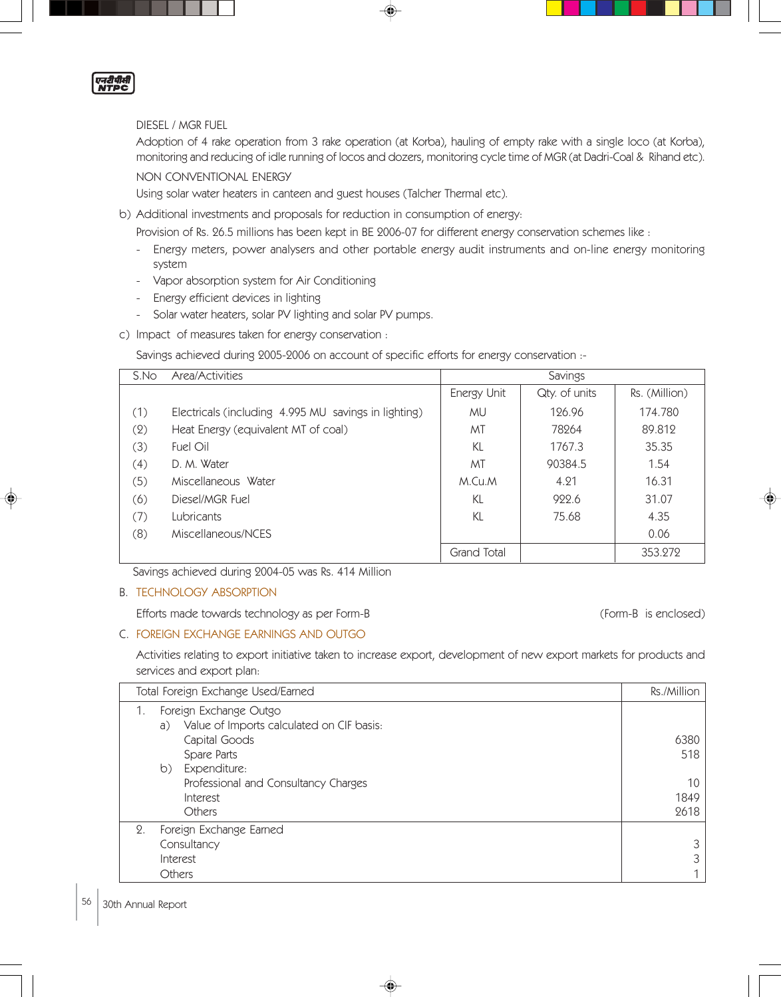

## DIESEL / MGR FUEL

Adoption of 4 rake operation from 3 rake operation (at Korba), hauling of empty rake with a single loco (at Korba), monitoring and reducing of idle running of locos and dozers, monitoring cycle time of MGR (at Dadri-Coal & Rihand etc).

# NON CONVENTIONAL ENERGY

Using solar water heaters in canteen and guest houses (Talcher Thermal etc).

b) Additional investments and proposals for reduction in consumption of energy:

Provision of Rs. 26.5 millions has been kept in BE 2006-07 for different energy conservation schemes like :

- Energy meters, power analysers and other portable energy audit instruments and on-line energy monitoring system
- Vapor absorption system for Air Conditioning
- Energy efficient devices in lighting
- Solar water heaters, solar PV lighting and solar PV pumps.
- c) Impact of measures taken for energy conservation :

Savings achieved during 2005-2006 on account of specific efforts for energy conservation :-

| S.No | Area/Activities                                      | Savings     |               |               |
|------|------------------------------------------------------|-------------|---------------|---------------|
|      |                                                      | Energy Unit | Qty. of units | Rs. (Million) |
| (1)  | Electricals (including 4.995 MU savings in lighting) | МU          | 126.96        | 174.780       |
| (2)  | Heat Energy (equivalent MT of coal)                  | MT          | 78264         | 89.812        |
| (3)  | Fuel Oil                                             | KL          | 1767.3        | 35.35         |
| (4)  | D. M. Water                                          | MT          | 90384.5       | 1.54          |
| (5)  | Miscellaneous Water                                  | M.Cu.M      | 4.21          | 16.31         |
| (6)  | Diesel/MGR Fuel                                      | KL          | 922.6         | 31.07         |
| (7)  | Lubricants                                           | KL          | 75.68         | 4.35          |
| (8)  | Miscellaneous/NCES                                   |             |               | 0.06          |
|      |                                                      | Grand Total |               | 353.272       |

Savings achieved during 2004-05 was Rs. 414 Million

#### B. TECHNOLOGY ABSORPTION

Efforts made towards technology as per Form-B (Form-B is enclosed)

## C. FOREIGN EXCHANGE EARNINGS AND OUTGO

Activities relating to export initiative taken to increase export, development of new export markets for products and services and export plan:

| Total Foreign Exchange Used/Earned |                                                                  | Rs./Million |
|------------------------------------|------------------------------------------------------------------|-------------|
| 1.                                 | Foreign Exchange Outgo                                           |             |
|                                    | Value of Imports calculated on CIF basis:<br>a)<br>Capital Goods | 6380        |
|                                    | Spare Parts<br>Expenditure:<br>b)                                | 518         |
|                                    | Professional and Consultancy Charges                             | 10          |
|                                    | Interest                                                         | 1849        |
|                                    | <b>Others</b>                                                    | 2618        |
| 2.                                 | Foreign Exchange Earned                                          |             |
|                                    | Consultancy                                                      |             |
|                                    | Interest                                                         | 3           |
|                                    | Others                                                           |             |

◈

## 56 30th Annual Report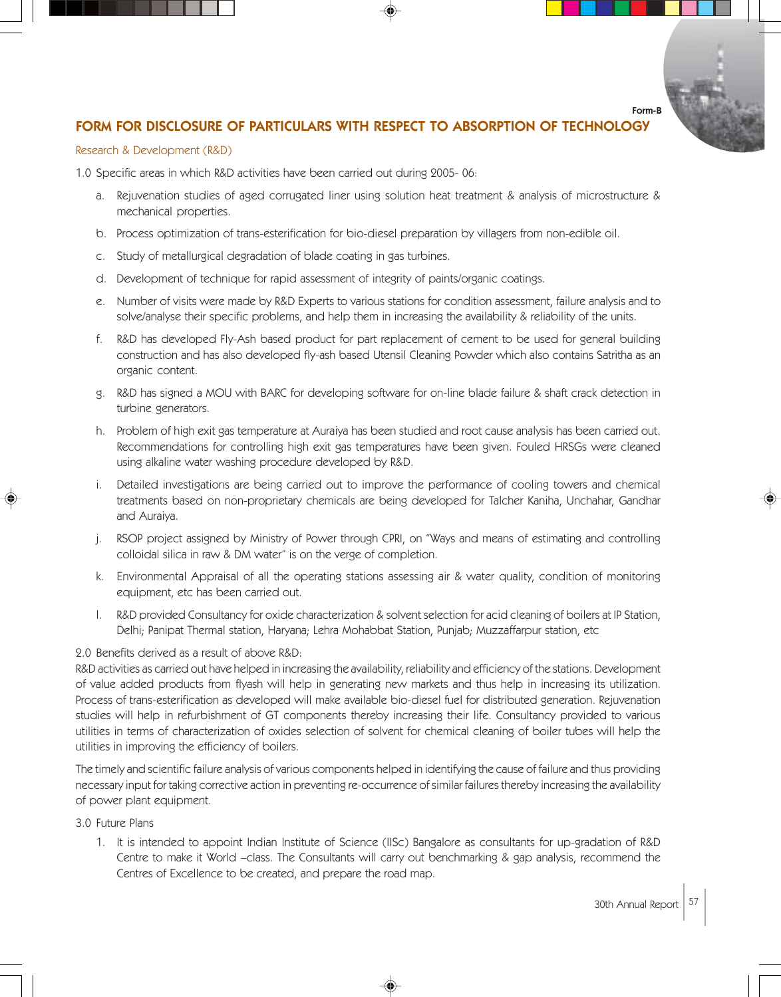Form-B

# FORM FOR DISCLOSURE OF PARTICULARS WITH RESPECT TO ABSORPTION OF TECHNOLOGY

#### Research & Development (R&D)

1.0 Specific areas in which R&D activities have been carried out during 2005- 06:

- a. Rejuvenation studies of aged corrugated liner using solution heat treatment & analysis of microstructure & mechanical properties.
- b. Process optimization of trans-esterification for bio-diesel preparation by villagers from non-edible oil.
- c. Study of metallurgical degradation of blade coating in gas turbines.
- d. Development of technique for rapid assessment of integrity of paints/organic coatings.
- e. Number of visits were made by R&D Experts to various stations for condition assessment, failure analysis and to solve/analyse their specific problems, and help them in increasing the availability & reliability of the units.
- f. R&D has developed Fly-Ash based product for part replacement of cement to be used for general building construction and has also developed fly-ash based Utensil Cleaning Powder which also contains Satritha as an organic content.
- g. R&D has signed a MOU with BARC for developing software for on-line blade failure & shaft crack detection in turbine generators.
- h. Problem of high exit gas temperature at Auraiya has been studied and root cause analysis has been carried out. Recommendations for controlling high exit gas temperatures have been given. Fouled HRSGs were cleaned using alkaline water washing procedure developed by R&D.
- i. Detailed investigations are being carried out to improve the performance of cooling towers and chemical treatments based on non-proprietary chemicals are being developed for Talcher Kaniha, Unchahar, Gandhar and Auraiya.
- j. RSOP project assigned by Ministry of Power through CPRI, on "Ways and means of estimating and controlling colloidal silica in raw & DM water" is on the verge of completion.
- k. Environmental Appraisal of all the operating stations assessing air & water quality, condition of monitoring equipment, etc has been carried out.
- l. R&D provided Consultancy for oxide characterization & solvent selection for acid cleaning of boilers at IP Station, Delhi; Panipat Thermal station, Haryana; Lehra Mohabbat Station, Punjab; Muzzaffarpur station, etc

#### 2.0 Benefits derived as a result of above R&D:

R&D activities as carried out have helped in increasing the availability, reliability and efficiency of the stations. Development of value added products from flyash will help in generating new markets and thus help in increasing its utilization. Process of trans-esterification as developed will make available bio-diesel fuel for distributed generation. Rejuvenation studies will help in refurbishment of GT components thereby increasing their life. Consultancy provided to various utilities in terms of characterization of oxides selection of solvent for chemical cleaning of boiler tubes will help the utilities in improving the efficiency of boilers.

The timely and scientific failure analysis of various components helped in identifying the cause of failure and thus providing necessary input for taking corrective action in preventing re-occurrence of similar failures thereby increasing the availability of power plant equipment.

3.0 Future Plans

1. It is intended to appoint Indian Institute of Science (IISc) Bangalore as consultants for up-gradation of R&D Centre to make it World –class. The Consultants will carry out benchmarking & gap analysis, recommend the Centres of Excellence to be created, and prepare the road map.

◈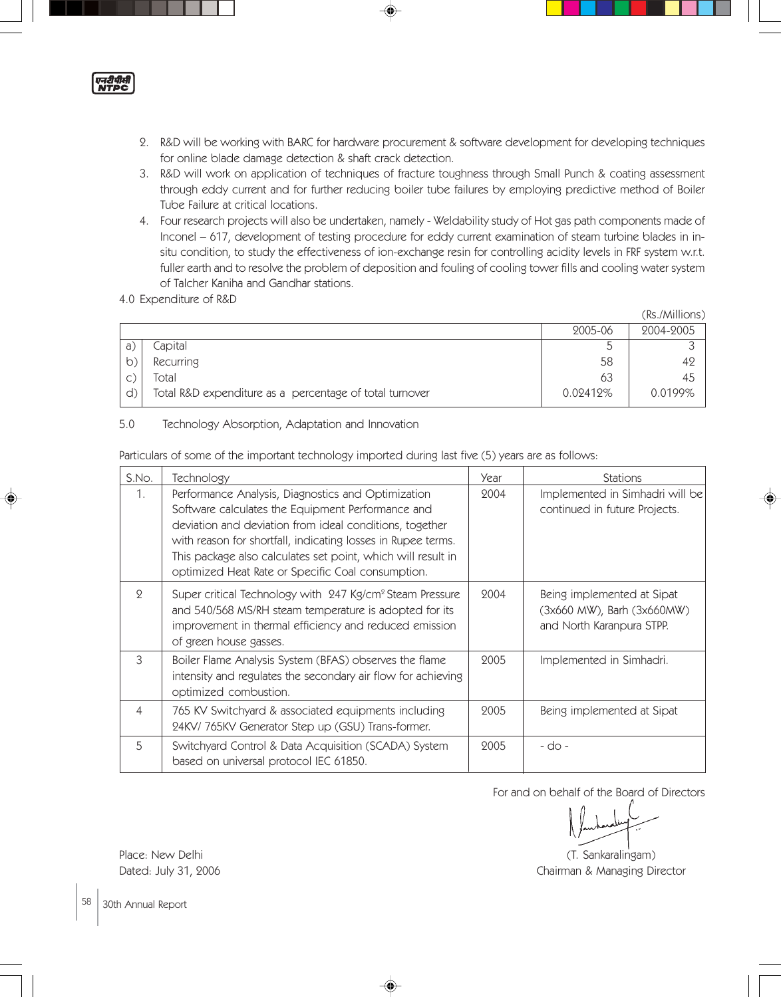

- 2. R&D will be working with BARC for hardware procurement & software development for developing techniques for online blade damage detection & shaft crack detection.
- 3. R&D will work on application of techniques of fracture toughness through Small Punch & coating assessment through eddy current and for further reducing boiler tube failures by employing predictive method of Boiler Tube Failure at critical locations.
- 4. Four research projects will also be undertaken, namely Weldability study of Hot gas path components made of Inconel – 617, development of testing procedure for eddy current examination of steam turbine blades in insitu condition, to study the effectiveness of ion-exchange resin for controlling acidity levels in FRF system w.r.t. fuller earth and to resolve the problem of deposition and fouling of cooling tower fills and cooling water system of Talcher Kaniha and Gandhar stations.
- 4.0 Expenditure of R&D

|    |                                                         |          | (Rs./Millions) |
|----|---------------------------------------------------------|----------|----------------|
|    |                                                         | 2005-06  | 2004-2005      |
| a. | Capital                                                 |          |                |
|    | Recurring                                               | 58       | 42             |
|    | Total                                                   | 63       | 45             |
| d) | Total R&D expenditure as a percentage of total turnover | 0.02412% | $0.0199\%$     |

# 5.0 Technology Absorption, Adaptation and Innovation

Particulars of some of the important technology imported during last five (5) years are as follows:

| S.No.          | Technology                                                                                                                                                                                                                                                                                                                                              | Year | <b>Stations</b>                                                                       |
|----------------|---------------------------------------------------------------------------------------------------------------------------------------------------------------------------------------------------------------------------------------------------------------------------------------------------------------------------------------------------------|------|---------------------------------------------------------------------------------------|
| 1.             | Performance Analysis, Diagnostics and Optimization<br>Software calculates the Equipment Performance and<br>deviation and deviation from ideal conditions, together<br>with reason for shortfall, indicating losses in Rupee terms.<br>This package also calculates set point, which will result in<br>optimized Heat Rate or Specific Coal consumption. | 2004 | Implemented in Simhadri will be<br>continued in future Projects.                      |
| 9              | Super critical Technology with 247 Kg/cm <sup>2</sup> Steam Pressure<br>and 540/568 MS/RH steam temperature is adopted for its<br>improvement in thermal efficiency and reduced emission<br>of green house gasses.                                                                                                                                      | 2004 | Being implemented at Sipat<br>(3x660 MW), Barh (3x660MW)<br>and North Karanpura STPP. |
| 3              | Boiler Flame Analysis System (BFAS) observes the flame<br>intensity and regulates the secondary air flow for achieving<br>optimized combustion.                                                                                                                                                                                                         | 2005 | Implemented in Simhadri.                                                              |
| $\overline{4}$ | 765 KV Switchyard & associated equipments including<br>24KV/765KV Generator Step up (GSU) Trans-former.                                                                                                                                                                                                                                                 | 2005 | Being implemented at Sipat                                                            |
| 5              | Switchyard Control & Data Acquisition (SCADA) System<br>based on universal protocol IEC 61850.                                                                                                                                                                                                                                                          | 2005 | - do -                                                                                |

◈

For and on behalf of the Board of Directors

Place: New Delhi (T. Sankaralingam) (T. Sankaralingam) Dated: July 31, 2006 **Chairman & Managing Director** 

58 30th Annual Report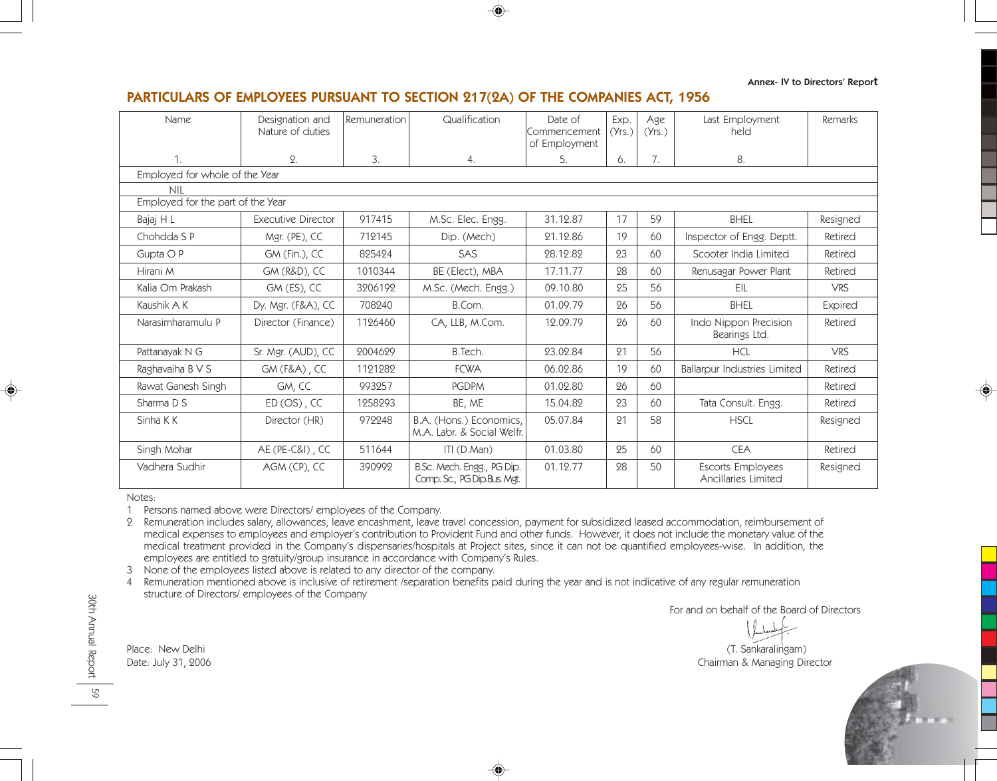Annex- IV to Directors' Report

# PARTICULARS OF EMPLOYEES PURSUANT TO SECTION 217(2A) OF THE COMPANIES ACT, 1956

| Name                              | Designation and<br>Nature of duties | Remuneration | Qualification                                             | Date of<br>Commencement<br>of Employment | Exp.<br>(Yrs.) | Age<br>(Yrs.) | Last Employment<br>held                  | Remarks        |
|-----------------------------------|-------------------------------------|--------------|-----------------------------------------------------------|------------------------------------------|----------------|---------------|------------------------------------------|----------------|
| 1.                                | $\Omega$ .                          | 3.           | 4.                                                        | 5.                                       | 6.             | 7.            | 8.                                       |                |
| Employed for whole of the Year    |                                     |              |                                                           |                                          |                |               |                                          |                |
| <b>NIL</b>                        |                                     |              |                                                           |                                          |                |               |                                          |                |
| Employed for the part of the Year |                                     |              |                                                           |                                          |                |               |                                          |                |
| Bajaj H L                         | <b>Executive Director</b>           | 917415       | M.Sc. Elec. Engg.                                         | 31.12.87                                 | 17             | 59            | <b>BHEL</b>                              | Resigned       |
| Chohdda S P                       | Mgr. (PE), CC                       | 712145       | Dip. (Mech)                                               | 21.12.86                                 | 19             | 60            | Inspector of Engg. Deptt.                | Retired        |
| Gupta $\bigcirc$ P                | GM (Fin.), CC                       | 825424       | SAS                                                       | 28.12.82                                 | 23             | 60            | Scooter India Limited                    | Retired        |
| Hirani M                          | <b>GM (R&amp;D), CC</b>             | 1010344      | BE (Elect), MBA                                           | 17.11.77                                 | 28             | 60            | Renusagar Power Plant                    | Retired        |
| Kalia Om Prakash                  | GM (ES), CC                         | 3206192      | M.Sc. (Mech. Engg.)                                       | 09.10.80                                 | 25             | 56            | EIL                                      | <b>VRS</b>     |
| Kaushik A K                       | Dy. Mgr. (F&A), CC                  | 708240       | B.Com.                                                    | 01.09.79                                 | 26             | 56            | <b>BHEL</b>                              | <b>Expired</b> |
| Narasimharamulu P                 | Director (Finance)                  | 1126460      | CA, LLB, M.Com.                                           | 12.09.79                                 | 26             | 60            | Indo Nippon Precision<br>Bearings Ltd.   | Retired        |
| Pattanayak N G                    | Sr. Mgr. (AUD), CC                  | 2004629      | B.Tech.                                                   | 23.02.84                                 | 21             | 56            | <b>HCL</b>                               | <b>VRS</b>     |
| Raghavaiha B V S                  | $GM(F&A)$ , CC                      | 1121282      | <b>FCWA</b>                                               | 06.02.86                                 | 19             | 60            | <b>Ballarpur Industries Limited</b>      | Retired        |
| Rawat Ganesh Singh                | GM, CC                              | 993257       | <b>PGDPM</b>                                              | 01.02.80                                 | 26             | 60            |                                          | Retired        |
| Sharma D S                        | $ED (OS)$ , CC                      | 1258293      | BE, ME                                                    | 15.04.82                                 | 23             | 60            | Tata Consult. Engg.                      | Retired        |
| Sinha K K                         | Director (HR)                       | 972248       | B.A. (Hons.) Economics,<br>M.A. Labr. & Social Welfr.     | 05.07.84                                 | 21             | 58            | <b>HSCL</b>                              | Resigned       |
| Singh Mohar                       | AE (PE-C&I), CC                     | 511644       | $ITI$ (D.Man)                                             | 01.03.80                                 | 25             | 60            | <b>CEA</b>                               | Retired        |
| Vadhera Sudhir                    | AGM (CP), CC                        | 390992       | B.Sc. Mech. Engg., PG Dip.<br>Comp. Sc., PG Dip.Bus. Mgt. | 01.12.77                                 | 28             | 50            | Escorts Employees<br>Ancillaries Limited | Resigned       |

Notes:

1 Persons named above were Directors/ employees of the Company.

2 Remuneration includes salary, allowances, leave encashment, leave travel concession, payment for subsidized leased accommodation, reimbursement of medical expenses to employees and employer's contribution to Provident Fund and other funds. However, it does not include the monetary value of the medical treatment provided in the Company's dispensaries/hospitals at Project sites, since it can not be quantified employees-wise. In addition, the employees are entitled to gratuity/group insurance in accordance with Company's Rules.

3 None of the employees listed above is related to any director of the company.

4 Remuneration mentioned above is inclusive of retirement /separation benefits paid during the year and is not indicative of any regular remuneration structure of Directors/ employees of the Company

For and on behalf of the Board of Directors

Place: New Delhi (T. Sankaralingam) Date: July 31, 2006 Chairman & Managing Director



30th Annual Report 30th Annual Report

59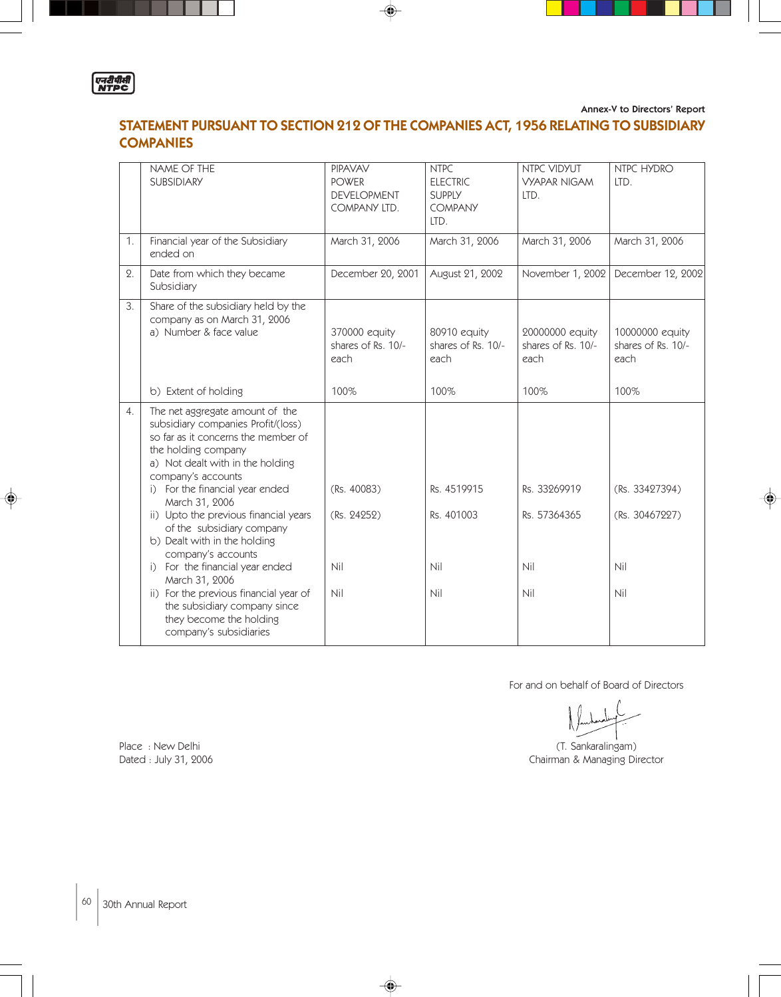

Annex-V to Directors' Report

# STATEMENT PURSUANT TO SECTION 212 OF THE COMPANIES ACT, 1956 RELATING TO SUBSIDIARY **COMPANIES**

⊕

|            | NAME OF THE<br><b>SUBSIDIARY</b>                                                                                                                                                                                                                                                                                                                                                                                                                                                                                                                                   | <b>PIPAVAV</b><br><b>POWER</b><br><b>DEVELOPMENT</b><br>COMPANY LTD. | <b>NTPC</b><br><b>ELECTRIC</b><br><b>SUPPLY</b><br><b>COMPANY</b><br>LTD. | NTPC VIDYUT<br><b>VYAPAR NIGAM</b><br>LTD.    | NTPC HYDRO<br>LTD.                             |
|------------|--------------------------------------------------------------------------------------------------------------------------------------------------------------------------------------------------------------------------------------------------------------------------------------------------------------------------------------------------------------------------------------------------------------------------------------------------------------------------------------------------------------------------------------------------------------------|----------------------------------------------------------------------|---------------------------------------------------------------------------|-----------------------------------------------|------------------------------------------------|
| 1.         | Financial year of the Subsidiary<br>ended on                                                                                                                                                                                                                                                                                                                                                                                                                                                                                                                       | March 31, 2006                                                       | March 31, 2006                                                            | March 31, 2006                                | March 31, 2006                                 |
| $\Omega$ . | Date from which they became<br>Subsidiary                                                                                                                                                                                                                                                                                                                                                                                                                                                                                                                          | December 20, 2001                                                    | August 21, 2002                                                           | November 1, 2002                              | December 12, 2002                              |
| 3.         | Share of the subsidiary held by the<br>company as on March 31, 2006<br>a) Number & face value                                                                                                                                                                                                                                                                                                                                                                                                                                                                      | 370000 equity<br>shares of Rs. 10/-<br>each                          | 80910 equity<br>shares of Rs. 10/-<br>each                                | 20000000 equity<br>shares of Rs. 10/-<br>each | 10000000 equity<br>shares of Rs. 10/-<br>each  |
|            | b) Extent of holding                                                                                                                                                                                                                                                                                                                                                                                                                                                                                                                                               | 100%                                                                 | 100%                                                                      | 100%                                          | 100%                                           |
| 4.         | The net aggregate amount of the<br>subsidiary companies Profit/(loss)<br>so far as it concerns the member of<br>the holding company<br>a) Not dealt with in the holding<br>company's accounts<br>i) For the financial year ended<br>March 31, 2006<br>ii) Upto the previous financial years<br>of the subsidiary company<br>b) Dealt with in the holding<br>company's accounts<br>i) For the financial year ended<br>March 31, 2006<br>ii) For the previous financial year of<br>the subsidiary company since<br>they become the holding<br>company's subsidiaries | (Rs. 40083)<br>(Rs. 24252)<br>Nil<br>Nil                             | Rs. 4519915<br>Rs. 401003<br>Nil<br>Nil                                   | Rs. 33269919<br>Rs. 57364365<br>Nil<br>Nil    | (Rs. 33427394)<br>(Rs. 30467227)<br>Nil<br>Nil |

♦

For and on behalf of Board of Directors

Place : New Delhi (T. Sankaralingam)<br>
Dated : July 31, 2006 (Dated at the University of the University of the University of the University of the U Chairman & Managing Director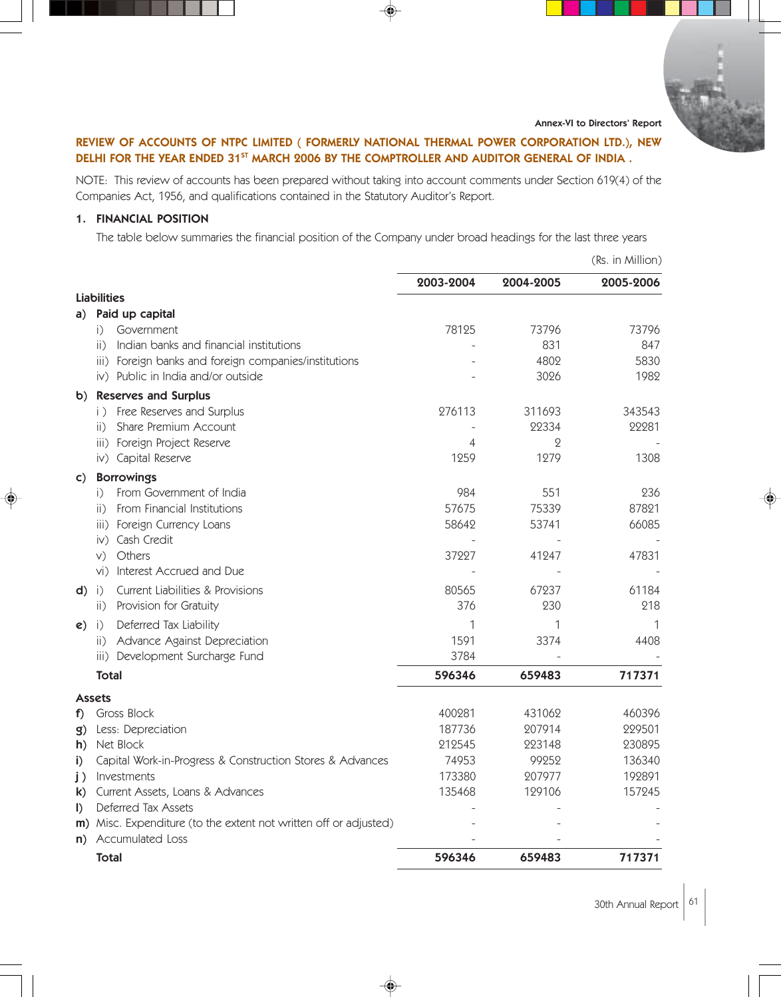Annex-VI to Directors' Report

# REVIEW OF ACCOUNTS OF NTPC LIMITED ( FORMERLY NATIONAL THERMAL POWER CORPORATION LTD.), NEW DELHI FOR THE YEAR ENDED 31<sup>st</sup> MARCH 2006 BY THE COMPTROLLER AND AUDITOR GENERAL OF INDIA.

NOTE: This review of accounts has been prepared without taking into account comments under Section 619(4) of the Companies Act, 1956, and qualifications contained in the Statutory Auditor's Report.

# 1. FINANCIAL POSITION

The table below summaries the financial position of the Company under broad headings for the last three years

|              |                                                                  |           |           | (Rs. in Million) |
|--------------|------------------------------------------------------------------|-----------|-----------|------------------|
|              |                                                                  | 2003-2004 | 2004-2005 | 2005-2006        |
|              | <b>Liabilities</b>                                               |           |           |                  |
| a)           | Paid up capital                                                  |           |           |                  |
|              | Government<br>i)                                                 | 78125     | 73796     | 73796            |
|              | Indian banks and financial institutions<br>ii)                   |           | 831       | 847              |
|              | iii) Foreign banks and foreign companies/institutions            |           | 4802      | 5830             |
|              | iv) Public in India and/or outside                               |           | 3026      | 1982             |
| $\mathbf{b}$ | <b>Reserves and Surplus</b>                                      |           |           |                  |
|              | i) Free Reserves and Surplus                                     | 276113    | 311693    | 343543           |
|              | Share Premium Account<br>$\overline{11}$                         |           | 22334     | 22281            |
|              | iii) Foreign Project Reserve                                     | 4         | $\Omega$  |                  |
|              | iv) Capital Reserve                                              | 1259      | 1279      | 1308             |
| $\mathsf{C}$ | <b>Borrowings</b>                                                |           |           |                  |
|              | From Government of India<br>i)                                   | 984       | 551       | 236              |
|              | From Financial Institutions<br>$\overline{11}$                   | 57675     | 75339     | 87821            |
|              | iii) Foreign Currency Loans                                      | 58642     | 53741     | 66085            |
|              | iv) Cash Credit                                                  |           |           |                  |
|              | Others<br>V)                                                     | 37227     | 41247     | 47831            |
|              | Interest Accrued and Due<br>$Vi$ )                               |           |           |                  |
| d)           | <b>Current Liabilities &amp; Provisions</b><br>$\big  \big $     | 80565     | 67237     | 61184            |
|              | Provision for Gratuity<br>$\mathsf{ii}$ )                        | 376       | 230       | 218              |
| e)           | Deferred Tax Liability<br>i)                                     | 1         | 1         | 1                |
|              | Advance Against Depreciation<br>$\mathsf{ii}$ )                  | 1591      | 3374      | 4408             |
|              | iii) Development Surcharge Fund                                  | 3784      |           |                  |
|              | Total                                                            | 596346    | 659483    | 717371           |
|              | <b>Assets</b>                                                    |           |           |                  |
| f)           | Gross Block                                                      | 400281    | 431062    | 460396           |
| g)           | Less: Depreciation                                               | 187736    | 207914    | 229501           |
| h)           | Net Block                                                        | 212545    | 223148    | 230895           |
| i)           | Capital Work-in-Progress & Construction Stores & Advances        | 74953     | 99252     | 136340           |
| j)           | Investments                                                      | 173380    | 207977    | 192891           |
| k)           | Current Assets, Loans & Advances                                 | 135468    | 129106    | 157245           |
| $\mathbf{D}$ | Deferred Tax Assets                                              |           |           |                  |
|              | m) Misc. Expenditure (to the extent not written off or adjusted) |           |           |                  |
| n)           | <b>Accumulated Loss</b>                                          |           |           |                  |
|              | <b>Total</b>                                                     | 596346    | 659483    | 717371           |

30th Annual Report  $61$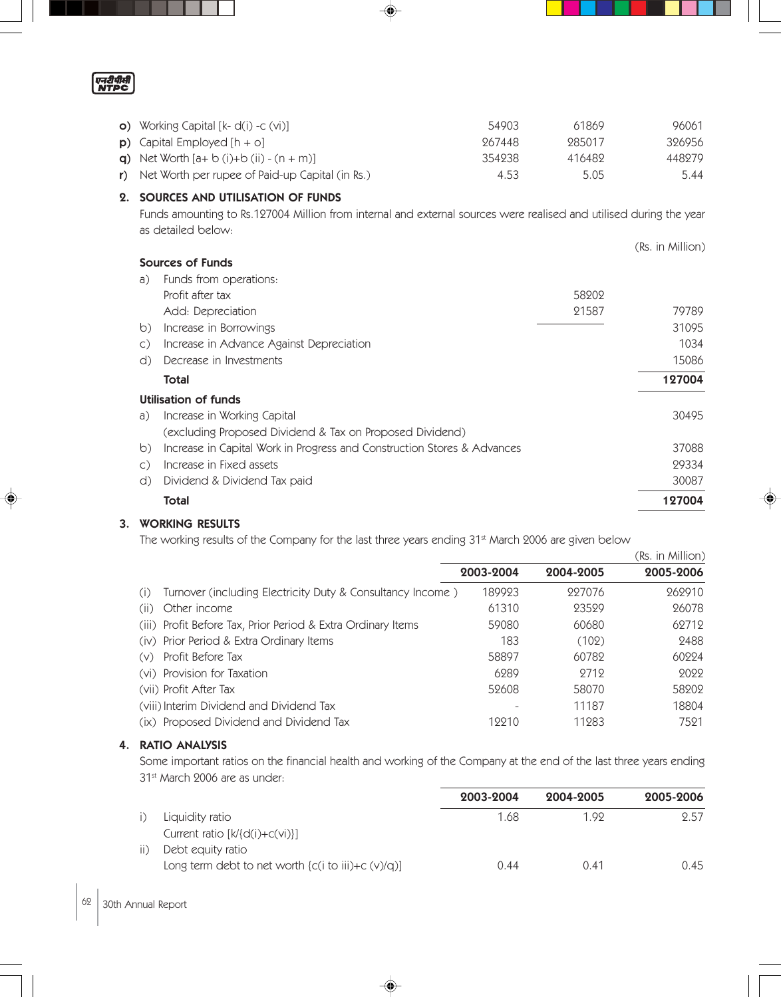एनरीपीसी

| <b>o)</b> Working Capital $[k-d(i) -c(vi)]$                   | 54903  | 61869  | 96061  |
|---------------------------------------------------------------|--------|--------|--------|
| <b>p</b> ) Capital Employed $[h + o]$                         | 967448 | 985017 | 326956 |
| <b>q)</b> Net Worth $[a + b(i) + b(ii) - (n + m)]$            | 354238 | 416489 | 448279 |
| $\mathbf r$ ) Net Worth per rupee of Paid-up Capital (in Rs.) | 4.53   | 5.05   | 5.44   |

# 2. SOURCES AND UTILISATION OF FUNDS

Funds amounting to Rs.127004 Million from internal and external sources were realised and utilised during the year as detailed below:

|                                                                                    |       | (Rs. in Million) |
|------------------------------------------------------------------------------------|-------|------------------|
| Sources of Funds                                                                   |       |                  |
| Funds from operations:<br>a)                                                       |       |                  |
| Profit after tax                                                                   | 58202 |                  |
| Add: Depreciation                                                                  | 21587 | 79789            |
| Increase in Borrowings<br>$\circ$                                                  |       | 31095            |
| Increase in Advance Against Depreciation<br>$\mathsf{C}$ )                         |       | 1034             |
| Decrease in Investments<br>d)                                                      |       | 15086            |
| Total                                                                              |       | 127004           |
| Utilisation of funds                                                               |       |                  |
| Increase in Working Capital<br>a)                                                  |       | 30495            |
| (excluding Proposed Dividend & Tax on Proposed Dividend)                           |       |                  |
| Increase in Capital Work in Progress and Construction Stores & Advances<br>$\circ$ |       | 37088            |
| Increase in Fixed assets<br>$\mathsf{C}$ )                                         |       | 29334            |
| Dividend & Dividend Tax paid<br>d)                                                 |       | 30087            |
| Total                                                                              |       | 127004           |

# 3. WORKING RESULTS

The working results of the Company for the last three years ending 31<sup>st</sup> March 2006 are given below

|                                                                   |           |           | (Rs. in Million) |
|-------------------------------------------------------------------|-----------|-----------|------------------|
|                                                                   | 2003-2004 | 2004-2005 | 2005-2006        |
| Turnover (including Electricity Duty & Consultancy Income)<br>(1) | 189923    | 227076    | 262910           |
| Other income<br>(ii)                                              | 61310     | 23529     | 26078            |
| (iii) Profit Before Tax, Prior Period & Extra Ordinary Items      | 59080     | 60680     | 62712            |
| (iv) Prior Period & Extra Ordinary Items                          | 183       | (102)     | 2488             |
| Profit Before Tax<br>(V)                                          | 58897     | 60782     | 60224            |
| (vi) Provision for Taxation                                       | 6289      | 9719      | 9099             |
| (vii) Profit After Tax                                            | 52608     | 58070     | 58202            |
| (viii) Interim Dividend and Dividend Tax                          |           | 11187     | 18804            |
| Proposed Dividend and Dividend Tax<br>$( X\rangle)$               | 19910     | 11283     | 7521             |

## 4. RATIO ANALYSIS

Some important ratios on the financial health and working of the Company at the end of the last three years ending 31<sup>st</sup> March 2006 are as under:

|               |                                                              | 2003-2004 | 2004-2005 | 2005-2006 |
|---------------|--------------------------------------------------------------|-----------|-----------|-----------|
|               | Liquidity ratio                                              | 1.68      | 1.99      | 2.57      |
|               | Current ratio $[k]{d(i)+c(vi)}$                              |           |           |           |
| $\parallel$ ) | Debt equity ratio                                            |           |           |           |
|               | Long term debt to net worth $\{c(i \text{ to iii})+c(v)/q\}$ | 0.44      | 0.41      | 0.45      |

◈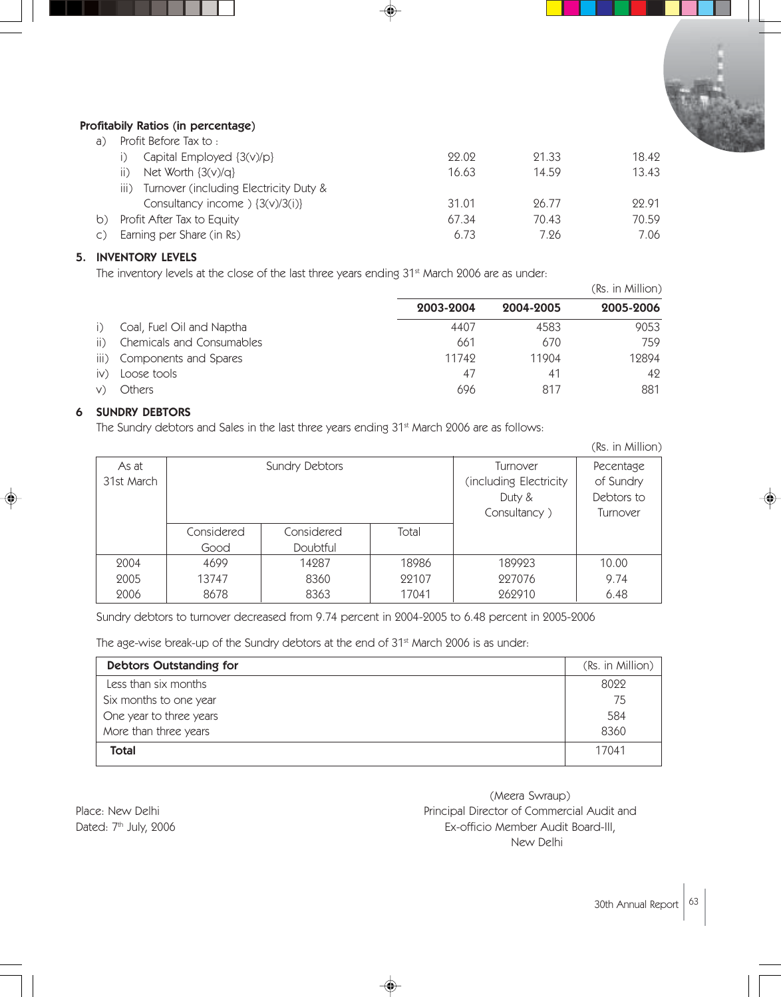

# Profitabily Ratios (in percentage)

| a) - | Profit Before Tax to :                               |       |       |       |
|------|------------------------------------------------------|-------|-------|-------|
|      | Capital Employed {3(v)/p}                            | 99.09 | 21.33 | 18.49 |
|      | Net Worth $\{3(v)/q\}$<br>$\vert \vert$ )            | 16.63 | 14.59 | 13.43 |
|      | Turnover (including Electricity Duty &<br>III)       |       |       |       |
|      | Consultancy income $\left.\frac{3(v)}{3(i)}\right\}$ | 31.01 | 96.77 | 99.91 |
|      | b) Profit After Tax to Equity                        | 67.34 | 70.43 | 70.59 |
|      | c) Earning per Share (in Rs)                         | 6.73  | 7.26  | 7.06  |
|      |                                                      |       |       |       |

# 5. INVENTORY LEVELS

The inventory levels at the close of the last three years ending 31<sup>st</sup> March 2006 are as under:

|               |                           |           |                | (Rs. in Million) |
|---------------|---------------------------|-----------|----------------|------------------|
|               |                           | 2003-2004 | 2004-2005      | 2005-2006        |
| $\vert$ )     | Coal, Fuel Oil and Naptha | 4407      | 4583           | 9053             |
| ii)           | Chemicals and Consumables | 661       | 670            | 759              |
| iii)          | Components and Spares     | 11749     | 11904          | 12894            |
| $\mathsf{iv}$ | Loose tools               | 47        | 4 <sup>1</sup> | 42               |
|               | Others                    | 696       | 817            | 881              |

# 6 SUNDRY DEBTORS

The Sundry debtors and Sales in the last three years ending 31<sup>st</sup> March 2006 are as follows:

|                         |            |                        |           |               | (Rs. in Million) |
|-------------------------|------------|------------------------|-----------|---------------|------------------|
| As at<br>Sundry Debtors |            |                        | Turnover  | Pecentage     |                  |
| 31st March              |            | (including Electricity | of Sundry |               |                  |
|                         |            |                        |           | Duty &        | Debtors to       |
|                         |            |                        |           | Consultancy ) | Turnover         |
|                         | Considered | Considered             | Total     |               |                  |
|                         | Good       | <b>Doubtful</b>        |           |               |                  |
| 2004                    | 4699       | 14287                  | 18986     | 189923        | 10.00            |
| 2005                    | 13747      | 8360                   | 22107     | 227076        | 9.74             |
| 2006                    | 8678       | 8363                   | 17041     | 262910        | 6.48             |

Sundry debtors to turnover decreased from 9.74 percent in 2004-2005 to 6.48 percent in 2005-2006

The age-wise break-up of the Sundry debtors at the end of 31<sup>st</sup> March 2006 is as under:

| <b>Debtors Outstanding for</b> | (Rs. in Million) |
|--------------------------------|------------------|
| Less than six months           | 8022             |
| Six months to one year         | 75               |
| One year to three years        | 584              |
| More than three years          | 8360             |
| Total                          | 17041            |

(Meera Swraup) Place: New Delhi **Place:** New Delhi Principal Director of Commercial Audit and Dated: 7<sup>th</sup> July, 2006 **EX-officio Member Audit Board-III**, New Delhi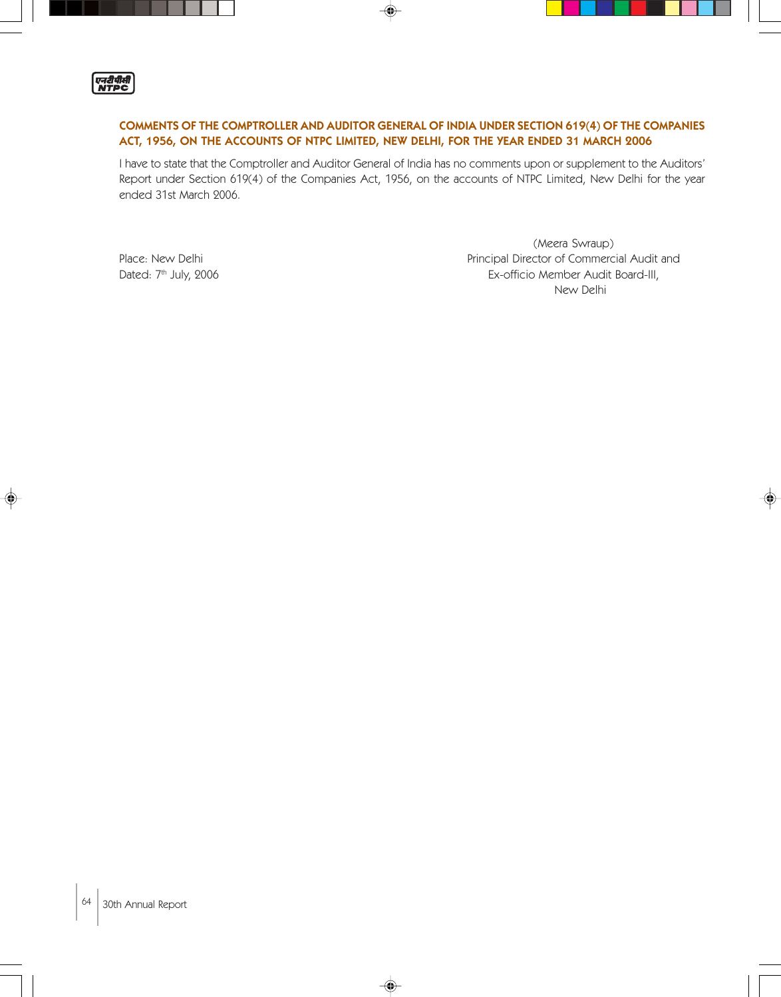

# COMMENTS OF THE COMPTROLLER AND AUDITOR GENERAL OF INDIA UNDER SECTION 619(4) OF THE COMPANIES ACT, 1956, ON THE ACCOUNTS OF NTPC LIMITED, NEW DELHI, FOR THE YEAR ENDED 31 MARCH 2006

I have to state that the Comptroller and Auditor General of India has no comments upon or supplement to the Auditors' Report under Section 619(4) of the Companies Act, 1956, on the accounts of NTPC Limited, New Delhi for the year ended 31st March 2006.

◈

(Meera Swraup) Place: New Delhi **Principal Director of Commercial Audit and** Dated: 7<sup>th</sup> July, 2006 **EX-officio Member Audit Board-III**, New Delhi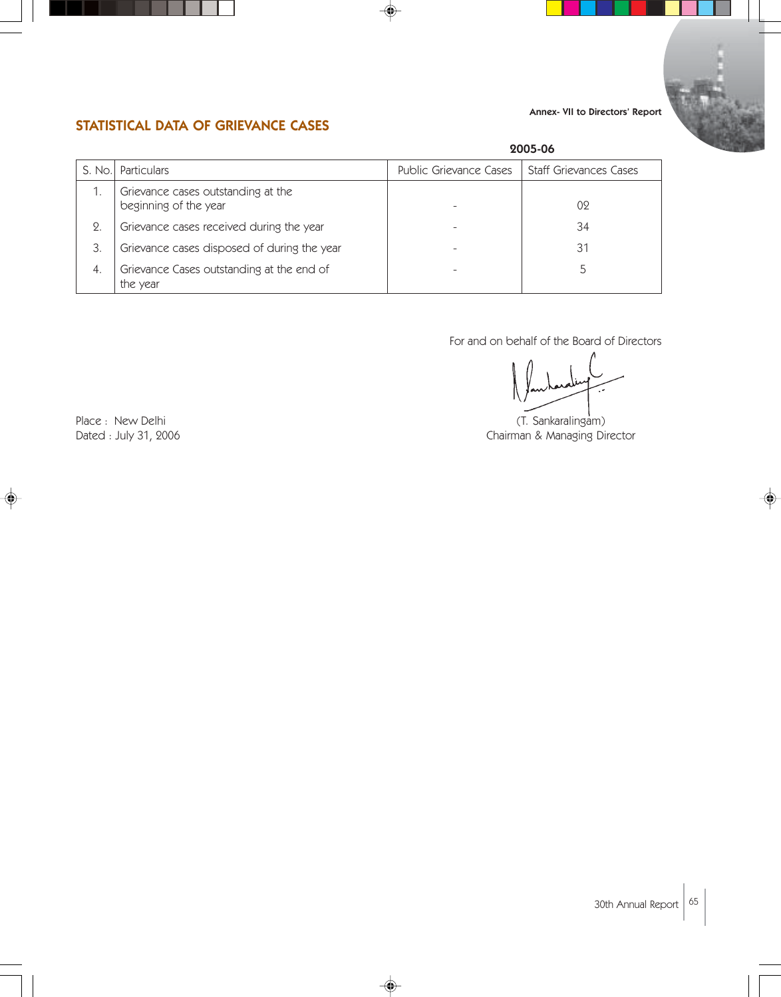# Annex- VII to Directors' Report



# STATISTICAL DATA OF GRIEVANCE CASES

|            |                                                             | 2005-06                |                        |  |
|------------|-------------------------------------------------------------|------------------------|------------------------|--|
| S. No.     | Particulars                                                 | Public Grievance Cases | Staff Grievances Cases |  |
|            | Grievance cases outstanding at the<br>beginning of the year |                        | 02                     |  |
| $\Omega$ . | Grievance cases received during the year                    |                        | 34                     |  |
| З.         | Grievance cases disposed of during the year                 |                        | 31                     |  |
| 4.         | Grievance Cases outstanding at the end of<br>the year       |                        |                        |  |

♦

For and on behalf of the Board of Directors

Place : New Delhi (T. Sankaralingam) Dated : July 31, 2006 **Chairman & Managing Director**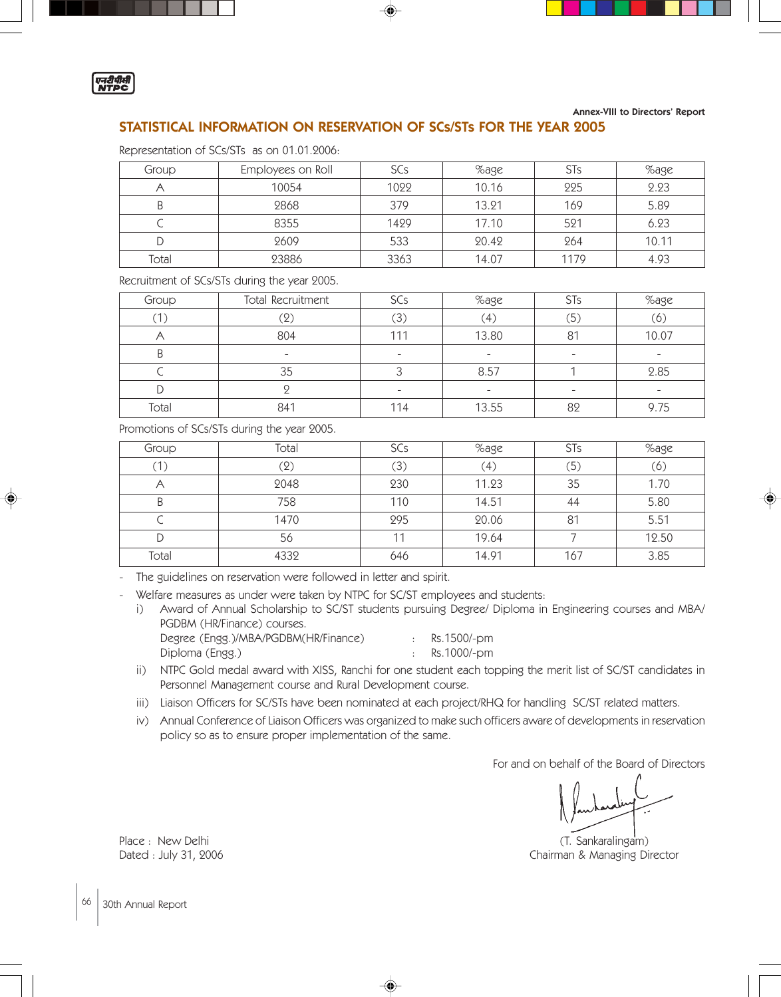

Annex-VIII to Directors' Report

## STATISTICAL INFORMATION ON RESERVATION OF SCs/STs FOR THE YEAR 2005

| Representation of SCs/STs as on 01.01.2006: |  |  |  |  |
|---------------------------------------------|--|--|--|--|
|---------------------------------------------|--|--|--|--|

| Group | Employees on Roll | <b>SCs</b> | %age  | <b>STs</b> | %age  |
|-------|-------------------|------------|-------|------------|-------|
|       | 10054             | 1022       | 10.16 | 225        | 2.23  |
|       | 2868              | 379        | 13.21 | 169        | 5.89  |
|       | 8355              | 1429       | 17.10 | 521        | 6.23  |
|       | 2609              | 533        | 20.42 | 264        | 10.11 |
| Total | 23886             | 3363       | 14.07 | 1179       | 4.93  |

Recruitment of SCs/STs during the year 2005.

| Group | Total Recruitment            | SCs                      | %age             | <b>STs</b>               | %age                     |
|-------|------------------------------|--------------------------|------------------|--------------------------|--------------------------|
| (1)   | $\left( 2\right)$            | $\left(3\right)$         | $\left(4\right)$ | (5)                      | (6)                      |
|       | 804                          | 111                      | 13.80            | 81                       | 10.07                    |
| B     | $\qquad \qquad \blacksquare$ | $\overline{\phantom{a}}$ | -                |                          | $\overline{\phantom{0}}$ |
|       | 35                           |                          | 8.57             |                          | 2.85                     |
|       |                              | $\overline{\phantom{a}}$ | ۰                | $\overline{\phantom{0}}$ | $\overline{\phantom{0}}$ |
| Total | 841                          | 114                      | 13.55            | 82                       | 9.75                     |

Promotions of SCs/STs during the year 2005.

| Group | Total | SCs | %age  | <b>STs</b> | %age  |
|-------|-------|-----|-------|------------|-------|
|       | (2)   | (3) | Ά,    | (5)        | (6)   |
|       | 2048  | 230 | 11.23 | 35         | 1.70  |
|       | 758   | 110 | 14.51 | 44         | 5.80  |
|       | 1470  | 295 | 20.06 | 81         | 5.51  |
|       | 56    |     | 19.64 |            | 12.50 |
| Total | 4332  | 646 | 14.91 | 167        | 3.85  |

- The guidelines on reservation were followed in letter and spirit.

Welfare measures as under were taken by NTPC for SC/ST employees and students:

i) Award of Annual Scholarship to SC/ST students pursuing Degree/ Diploma in Engineering courses and MBA/ PGDBM (HR/Finance) courses.

| Degree (Engg.)/MBA/PGDBM(HR/Finance)<br>Diploma (Engg.) | Rs.1500/-pm<br>Rs.1000/-pm |
|---------------------------------------------------------|----------------------------|
|                                                         |                            |

ii) NTPC Gold medal award with XISS, Ranchi for one student each topping the merit list of SC/ST candidates in Personnel Management course and Rural Development course.

iii) Liaison Officers for SC/STs have been nominated at each project/RHQ for handling SC/ST related matters.

◈

iv) Annual Conference of Liaison Officers was organized to make such officers aware of developments in reservation policy so as to ensure proper implementation of the same.

For and on behalf of the Board of Directors

Place : New Delhi (T. Sankaralingam) (T. Sankaralingam) Dated : July 31, 2006 **Chairman & Managing Director**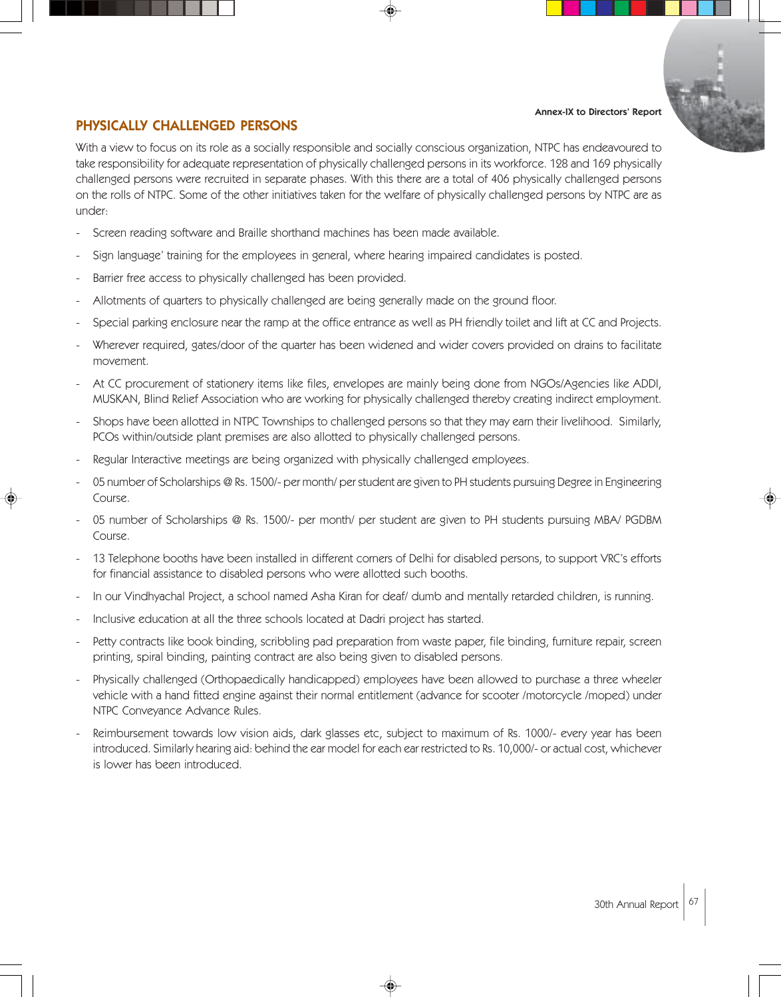#### Annex-IX to Directors' Report



# PHYSICALLY CHALLENGED PERSONS

With a view to focus on its role as a socially responsible and socially conscious organization, NTPC has endeavoured to take responsibility for adequate representation of physically challenged persons in its workforce. 128 and 169 physically challenged persons were recruited in separate phases. With this there are a total of 406 physically challenged persons on the rolls of NTPC. Some of the other initiatives taken for the welfare of physically challenged persons by NTPC are as under:

- Screen reading software and Braille shorthand machines has been made available.
- Sign language' training for the employees in general, where hearing impaired candidates is posted.
- Barrier free access to physically challenged has been provided.
- Allotments of quarters to physically challenged are being generally made on the ground floor.
- Special parking enclosure near the ramp at the office entrance as well as PH friendly toilet and lift at CC and Projects.
- Wherever required, gates/door of the quarter has been widened and wider covers provided on drains to facilitate movement.
- At CC procurement of stationery items like files, envelopes are mainly being done from NGOs/Agencies like ADDI, MUSKAN, Blind Relief Association who are working for physically challenged thereby creating indirect employment.
- Shops have been allotted in NTPC Townships to challenged persons so that they may earn their livelihood. Similarly, PCOs within/outside plant premises are also allotted to physically challenged persons.
- Regular Interactive meetings are being organized with physically challenged employees.
- 05 number of Scholarships @ Rs. 1500/- per month/ per student are given to PH students pursuing Degree in Engineering Course.
- 05 number of Scholarships @ Rs. 1500/- per month/ per student are given to PH students pursuing MBA/ PGDBM Course.
- 13 Telephone booths have been installed in different corners of Delhi for disabled persons, to support VRC's efforts for financial assistance to disabled persons who were allotted such booths.
- In our Vindhyachal Project, a school named Asha Kiran for deaf/ dumb and mentally retarded children, is running.
- Inclusive education at all the three schools located at Dadri project has started.
- Petty contracts like book binding, scribbling pad preparation from waste paper, file binding, furniture repair, screen printing, spiral binding, painting contract are also being given to disabled persons.
- Physically challenged (Orthopaedically handicapped) employees have been allowed to purchase a three wheeler vehicle with a hand fitted engine against their normal entitlement (advance for scooter /motorcycle /moped) under NTPC Conveyance Advance Rules.
- Reimbursement towards low vision aids, dark glasses etc, subject to maximum of Rs. 1000/- every year has been introduced. Similarly hearing aid: behind the ear model for each ear restricted to Rs. 10,000/- or actual cost, whichever is lower has been introduced.

◈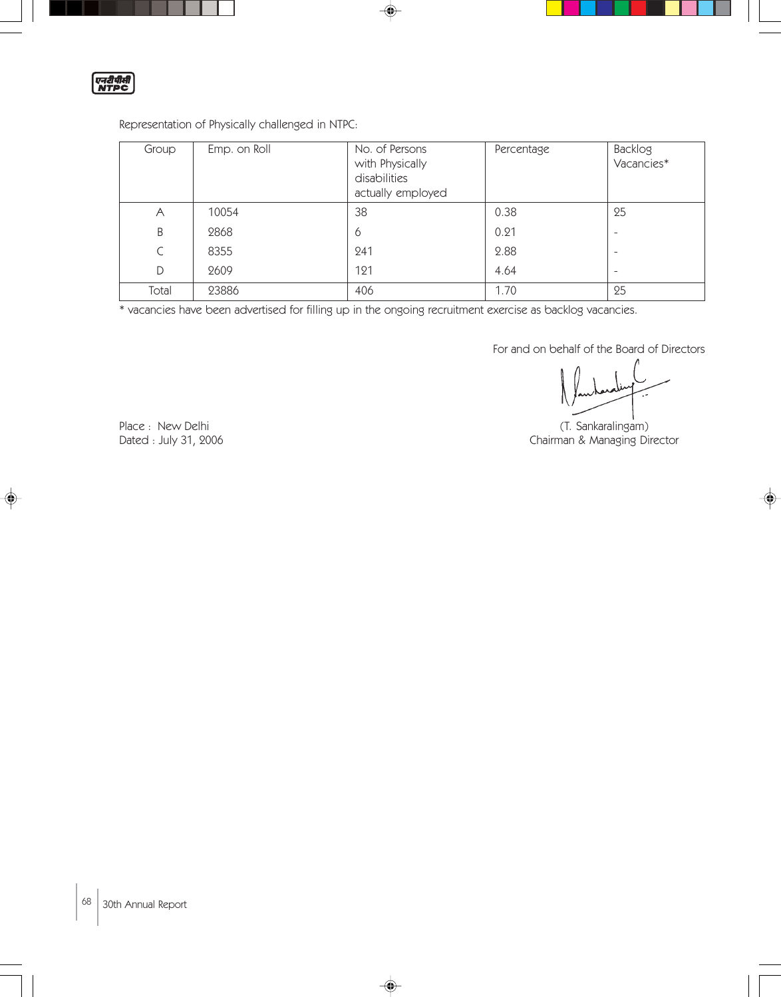एनरीपीती

# Representation of Physically challenged in NTPC:

| Group | Emp. on Roll | No. of Persons<br>with Physically<br>disabilities<br>actually employed | Percentage | Backlog<br>Vacancies*    |
|-------|--------------|------------------------------------------------------------------------|------------|--------------------------|
| Α     | 10054        | 38                                                                     | 0.38       | 25                       |
| B     | 2868         | 6                                                                      | 0.21       | ۰                        |
| C     | 8355         | 241                                                                    | 2.88       | ۰                        |
| D     | 2609         | 121                                                                    | 4.64       | $\overline{\phantom{a}}$ |
| Total | 23886        | 406                                                                    | 1.70       | 25                       |

♦

\* vacancies have been advertised for filling up in the ongoing recruitment exercise as backlog vacancies.

 $\clubsuit$ 

For and on behalf of the Board of Directors

Place : New Delhi (T. Sankaralingam) Dated : July 31, 2006 **Chairman & Managing Director**